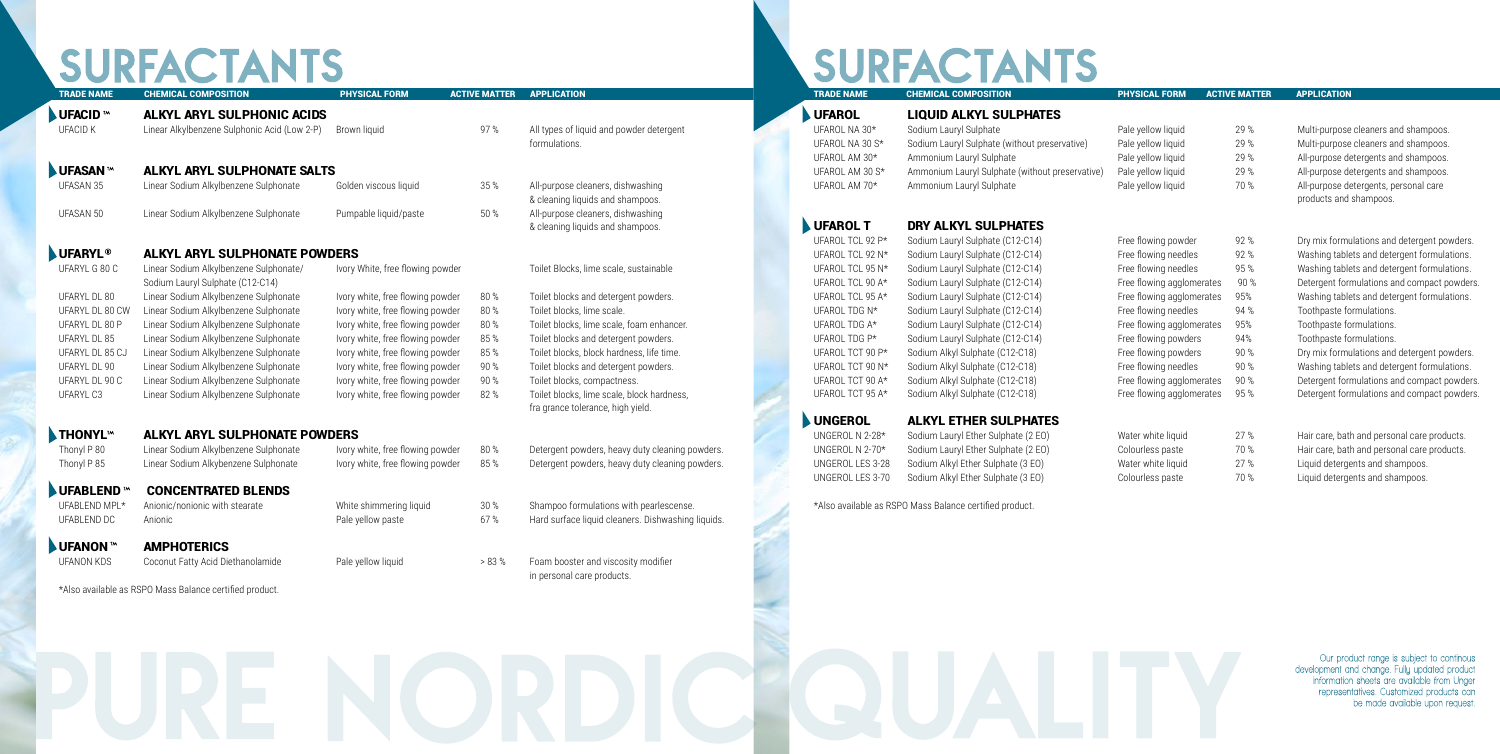\*Also available as RSPO Mass Balance certified product.

# **SURFACTANTS**

### UFAROL LIQUID ALKYL SULPHATES

| Sodium Lauryl Sulphate                          | p |
|-------------------------------------------------|---|
| Sodium Lauryl Sulphate (without preservative)   | p |
| Ammonium Lauryl Sulphate                        | р |
| Ammonium Lauryl Sulphate (without preservative) | P |
| Ammonium Lauryl Sulphate                        | p |

## UFAROL T DRY ALKYL SULPHAT

### UNGEROL ALKYL ETHER SULPHATES

## UNGEROL N 2-28\* Sodium Lauryl Ether Sulphate (2 EO) Water UNGEROL N  $2\text{-}70^*$  Sodium Lauryl Ether Sulphate (2 EO) Colourless paste 70 % Hair care products. UNGEROL LES 3-28 Sodium Alkyl Ether Sulphate (3 EO) Water

# SURFACTANTS

| <b>TRADE NAME</b>          | <b>CHEMICAL COMPOSITION</b>                  | <b>PHYSICAL FORM</b>             | <b>ACTIVE MATTER</b> | <b>APPLICATION</b>                                 | <b>TRADE NAME</b> | <b>CHEMICAL COMPOSITION</b>                             | <b>PHYSICAL FORM</b>      | <b>ACTIVE MATTER</b> | <b>APPLICATION</b> |
|----------------------------|----------------------------------------------|----------------------------------|----------------------|----------------------------------------------------|-------------------|---------------------------------------------------------|---------------------------|----------------------|--------------------|
| <b>UFACID</b> <sup>M</sup> | ALKYL ARYL SULPHONIC ACIDS                   |                                  |                      |                                                    | <b>UFAROL</b>     | <b>LIQUID ALKYL SULPHATES</b>                           |                           |                      |                    |
| <b>UFACID K</b>            | Linear Alkylbenzene Sulphonic Acid (Low 2-P) | Brown liquid                     | 97%                  | All types of liquid and powder detergent           | UFAROL NA 30*     | Sodium Lauryl Sulphate                                  | Pale yellow liquid        | 29 %                 | Multi-purpose      |
|                            |                                              |                                  |                      | formulations.                                      | UFAROL NA 30 S*   | Sodium Lauryl Sulphate (without preservative)           | Pale yellow liquid        | 29 %                 | Multi-purpose      |
|                            |                                              |                                  |                      |                                                    | UFAROL AM 30*     | Ammonium Lauryl Sulphate                                | Pale yellow liquid        | 29 %                 | All-purpose de     |
| <b>UFASAN</b>              | <b>ALKYL ARYL SULPHONATE SALTS</b>           |                                  |                      |                                                    | UFAROL AM 30 S*   | Ammonium Lauryl Sulphate (without preservative)         | Pale yellow liquid        | 29 %                 | All-purpose de     |
| UFASAN 35                  | Linear Sodium Alkylbenzene Sulphonate        | Golden viscous liquid            | 35 %                 | All-purpose cleaners, dishwashing                  | UFAROL AM 70*     | Ammonium Lauryl Sulphate                                | Pale yellow liquid        | 70 %                 | All-purpose de     |
|                            |                                              |                                  |                      | & cleaning liquids and shampoos.                   |                   |                                                         |                           |                      | products and       |
| UFASAN 50                  | Linear Sodium Alkylbenzene Sulphonate        | Pumpable liquid/paste            | 50 %                 | All-purpose cleaners, dishwashing                  |                   |                                                         |                           |                      |                    |
|                            |                                              |                                  |                      | & cleaning liquids and shampoos.                   | <b>UFAROL T</b>   | DRY ALKYL SULPHATES                                     |                           |                      |                    |
|                            |                                              |                                  |                      |                                                    | UFAROL TCL 92 P*  | Sodium Lauryl Sulphate (C12-C14)                        | Free flowing powder       | 92%                  | Dry mix form       |
| <b>JUFARYL<sup>®</sup></b> | <b>ALKYL ARYL SULPHONATE POWDERS</b>         |                                  |                      |                                                    | UFAROL TCL 92 N*  | Sodium Lauryl Sulphate (C12-C14)                        | Free flowing needles      | 92%                  | Washing table      |
| UFARYL G 80 C              | Linear Sodium Alkylbenzene Sulphonate/       | Ivory White, free flowing powder |                      | Toilet Blocks, lime scale, sustainable             | UFAROL TCL 95 N*  | Sodium Lauryl Sulphate (C12-C14)                        | Free flowing needles      | 95%                  | Washing table      |
|                            | Sodium Lauryl Sulphate (C12-C14)             |                                  |                      |                                                    | UFAROL TCL 90 A*  | Sodium Lauryl Sulphate (C12-C14)                        | Free flowing agglomerates | 90 %                 | Detergent for      |
| UFARYL DL 80               | Linear Sodium Alkylbenzene Sulphonate        | Ivory white, free flowing powder | 80%                  | Toilet blocks and detergent powders.               | UFAROL TCL 95 A*  | Sodium Lauryl Sulphate (C12-C14)                        | Free flowing agglomerates | 95%                  | Washing table      |
| UFARYL DL 80 CW            | Linear Sodium Alkylbenzene Sulphonate        | Ivory white, free flowing powder | 80%                  | Toilet blocks, lime scale.                         | UFAROL TDG N*     | Sodium Lauryl Sulphate (C12-C14)                        | Free flowing needles      | 94 %                 | Toothpaste fo      |
| UFARYL DL 80 P             | Linear Sodium Alkylbenzene Sulphonate        | Ivory white, free flowing powder | 80 %                 | Toilet blocks, lime scale, foam enhancer.          | UFAROL TDG A*     | Sodium Lauryl Sulphate (C12-C14)                        | Free flowing agglomerates | 95%                  | Toothpaste fo      |
| UFARYL DL 85               | Linear Sodium Alkylbenzene Sulphonate        | Ivory white, free flowing powder | 85%                  | Toilet blocks and detergent powders.               | UFAROL TDG P*     | Sodium Lauryl Sulphate (C12-C14)                        | Free flowing powders      | 94%                  | Toothpaste fo      |
| UFARYL DL 85 CJ            | Linear Sodium Alkylbenzene Sulphonate        | Ivory white, free flowing powder | 85%                  | Toilet blocks, block hardness, life time.          | UFAROL TCT 90 P*  | Sodium Alkyl Sulphate (C12-C18)                         | Free flowing powders      | 90 %                 | Dry mix form       |
| UFARYL DL 90               | Linear Sodium Alkylbenzene Sulphonate        | Ivory white, free flowing powder | 90 %                 | Toilet blocks and detergent powders.               | UFAROL TCT 90 N*  | Sodium Alkyl Sulphate (C12-C18)                         | Free flowing needles      | 90%                  | Washing table      |
| UFARYL DL 90 C             | Linear Sodium Alkylbenzene Sulphonate        | Ivory white, free flowing powder | 90 %                 | Toilet blocks, compactness.                        | UFAROL TCT 90 A*  | Sodium Alkyl Sulphate (C12-C18)                         | Free flowing agglomerates | 90 %                 | Detergent for      |
| UFARYL C3                  | Linear Sodium Alkylbenzene Sulphonate        | Ivory white, free flowing powder | 82 %                 | Toilet blocks, lime scale, block hardness,         | UFAROL TCT 95 A*  | Sodium Alkyl Sulphate (C12-C18)                         | Free flowing agglomerates | 95%                  | Detergent for      |
|                            |                                              |                                  |                      | fra grance tolerance, high yield.                  |                   |                                                         |                           |                      |                    |
|                            |                                              |                                  |                      |                                                    | UNGEROL           | <b>ALKYL ETHER SULPHATES</b>                            |                           |                      |                    |
| <b>THONYL</b>              | <b>ALKYL ARYL SULPHONATE POWDERS</b>         |                                  |                      |                                                    | UNGEROL N 2-28*   | Sodium Lauryl Ether Sulphate (2 EO)                     | Water white liquid        | 27 %                 | Hair care, bat     |
| Thonyl P 80                | Linear Sodium Alkylbenzene Sulphonate        | Ivory white, free flowing powder | 80 %                 | Detergent powders, heavy duty cleaning powders.    | UNGEROL N 2-70*   | Sodium Lauryl Ether Sulphate (2 EO)                     | Colourless paste          | 70 %                 | Hair care, bat     |
| Thonyl P 85                | Linear Sodium Alkybenzene Sulphonate         | Ivory white, free flowing powder | 85%                  | Detergent powders, heavy duty cleaning powders.    | UNGEROL LES 3-28  | Sodium Alkyl Ether Sulphate (3 EO)                      | Water white liquid        | 27 %                 | Liquid deterge     |
|                            |                                              |                                  |                      |                                                    | UNGEROL LES 3-70  | Sodium Alkyl Ether Sulphate (3 EO)                      | Colourless paste          | 70 %                 | Liquid deterge     |
| UFABLEND                   | <b>CONCENTRATED BLENDS</b>                   |                                  |                      |                                                    |                   |                                                         |                           |                      |                    |
| UFABLEND MPL*              | Anionic/nonionic with stearate               | White shimmering liquid          | 30 %                 | Shampoo formulations with pearlescense.            |                   | *Also available as RSPO Mass Balance certified product. |                           |                      |                    |
| UFABLEND DC                | Anionic                                      | Pale yellow paste                | 67%                  | Hard surface liquid cleaners. Dishwashing liquids. |                   |                                                         |                           |                      |                    |
|                            |                                              |                                  |                      |                                                    |                   |                                                         |                           |                      |                    |
| <b>JUFANON</b>             | <b>AMPHOTERICS</b>                           |                                  |                      |                                                    |                   |                                                         |                           |                      |                    |
| <b>UFANON KDS</b>          | Coconut Fatty Acid Diethanolamide            | Pale yellow liquid               | > 83%                | Foam booster and viscosity modifier                |                   |                                                         |                           |                      |                    |
|                            |                                              |                                  |                      | in personal care products.                         |                   |                                                         |                           |                      |                    |

| UFAROL           | <b>LIQUID ALKYL SULPHATES</b>                   |                           |      |                                             |
|------------------|-------------------------------------------------|---------------------------|------|---------------------------------------------|
| UFAROL NA 30*    | Sodium Lauryl Sulphate                          | Pale yellow liquid        | 29 % | Multi-purpose cleaners and shampoos.        |
| UFAROL NA 30 S*  | Sodium Lauryl Sulphate (without preservative)   | Pale yellow liquid        | 29 % | Multi-purpose cleaners and shampoos.        |
| UFAROL AM 30*    | Ammonium Lauryl Sulphate                        | Pale yellow liquid        | 29 % | All-purpose detergents and shampoos.        |
| UFAROL AM 30 S*  | Ammonium Lauryl Sulphate (without preservative) | Pale yellow liquid        | 29 % | All-purpose detergents and shampoos.        |
| UFAROL AM 70*    | Ammonium Lauryl Sulphate                        | Pale yellow liquid        | 70 % | All-purpose detergents, personal care       |
|                  |                                                 |                           |      | products and shampoos.                      |
| UFAROL T         | DRY ALKYL SULPHATES                             |                           |      |                                             |
| UFAROL TCL 92 P* | Sodium Lauryl Sulphate (C12-C14)                | Free flowing powder       | 92%  | Dry mix formulations and detergent powders. |
| UFAROL TCL 92 N* | Sodium Lauryl Sulphate (C12-C14)                | Free flowing needles      | 92%  | Washing tablets and detergent formulations. |
| UFAROL TCL 95 N* | Sodium Lauryl Sulphate (C12-C14)                | Free flowing needles      | 95%  | Washing tablets and detergent formulations. |
| UFAROL TCL 90 A* | Sodium Lauryl Sulphate (C12-C14)                | Free flowing agglomerates | 90 % | Detergent formulations and compact powders. |
| UFAROL TCL 95 A* | Sodium Lauryl Sulphate (C12-C14)                | Free flowing agglomerates | 95%  | Washing tablets and detergent formulations. |
| UFAROL TDG N*    | Sodium Lauryl Sulphate (C12-C14)                | Free flowing needles      | 94 % | Toothpaste formulations.                    |
| UFAROL TDG A*    | Sodium Lauryl Sulphate (C12-C14)                | Free flowing agglomerates | 95%  | Toothpaste formulations.                    |
| UFAROL TDG P*    | Sodium Lauryl Sulphate (C12-C14)                | Free flowing powders      | 94%  | Toothpaste formulations.                    |
| UFAROL TCT 90 P* | Sodium Alkyl Sulphate (C12-C18)                 | Free flowing powders      | 90 % | Dry mix formulations and detergent powders. |
| UFAROL TCT 90 N* | Sodium Alkyl Sulphate (C12-C18)                 | Free flowing needles      | 90 % | Washing tablets and detergent formulations. |
| UFAROL TCT 90 A* | Sodium Alkyl Sulphate (C12-C18)                 | Free flowing agglomerates | 90 % | Detergent formulations and compact powders. |
| UFAROL TCT 95 A* | Sodium Alkyl Sulphate (C12-C18)                 | Free flowing agglomerates | 95%  | Detergent formulations and compact powders. |
| UNGEROL          | <b>ALKYL ETHER SULPHATES</b>                    |                           |      |                                             |
| UNGEROL N 2-28*  | Sodium Lauryl Ether Sulphate (2 EO)             | Water white liquid        | 27%  | Hair care, bath and personal care products. |
| UNGEROL N 2-70*  | Sodium Lauryl Ether Sulphate (2 EO)             | Colourless paste          | 70 % | Hair care, bath and personal care products. |
| UNGEROL LES 3-28 | Sodium Alkyl Ether Sulphate (3 EO)              | Water white liquid        | 27 % | Liquid detergents and shampoos.             |
| UNGEROL LES 3-70 | Sodium Alkyl Ether Sulphate (3 EO)              | Colourless paste          | 70 % | Liquid detergents and shampoos.             |



Our product range is subject to continous development and change. Fully updated product information sheets are available from Unger representatives. Customized products can be made available upon request.

| TES  |  |  |
|------|--|--|
| C14) |  |  |
| C14) |  |  |
| C14) |  |  |
| C14) |  |  |
| C14) |  |  |
| C14) |  |  |
| C14) |  |  |
| C14) |  |  |
| (18) |  |  |

## s, heavy duty cleaning powders.

- l cleaners. Dishwashing liquids.
-